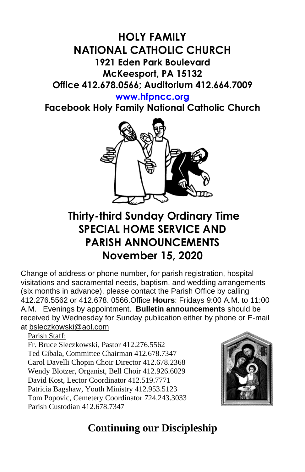# **HOLY FAMILY NATIONAL CATHOLIC CHURCH 1921 Eden Park Boulevard McKeesport, PA 15132 Office 412.678.0566; Auditorium 412.664.7009**

#### **[www.hfpncc.org](http://www.hfpncc.org/)**

**Facebook Holy Family National Catholic Church**



# **Thirty-third Sunday Ordinary Time SPECIAL HOME SERVICE AND PARISH ANNOUNCEMENTS November 15, 2020**

Change of address or phone number, for parish registration, hospital visitations and sacramental needs, baptism, and wedding arrangements (six months in advance), please contact the Parish Office by calling 412.276.5562 or 412.678. 0566.Office **Hours**: Fridays 9:00 A.M. to 11:00 A.M. Evenings by appointment. **Bulletin announcements** should be received by Wednesday for Sunday publication either by phone or E-mail at [bsleczkowski@aol.com](mailto:bsleczkowski@aol.com)

Parish Staff:

Fr. Bruce Sleczkowski, Pastor 412.276.5562 Ted Gibala, Committee Chairman 412.678.7347 Carol Davelli Chopin Choir Director 412.678.2368 Wendy Blotzer, Organist, Bell Choir 412.926.6029 David Kost, Lector Coordinator 412.519.7771 Patricia Bagshaw, Youth Ministry 412.953.5123 Tom Popovic, Cemetery Coordinator 724.243.3033 Parish Custodian 412.678.7347



# **Continuing our Discipleship**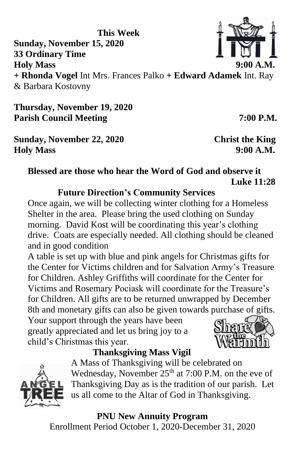**This Week Sunday, November 15, 2020 33 Ordinary Time Holy Mass 9:00 A.M. + Rhonda Vogel** Int Mrs. Frances Palko **+ Edward Adamek** Int. Ray & Barbara Kostovny

**Thursday, November 19, 2020** Parish Council Meeting 7:00 P.M.

**Sunday, November 22, 2020 Christ the King Holy Mass 9:00 A.M.**

## **Blessed are those who hear the Word of God and observe it Luke 11:28**

### **Future Direction's Community Services**

Once again, we will be collecting winter clothing for a Homeless Shelter in the area. Please bring the used clothing on Sunday morning. David Kost will be coordinating this year's clothing drive. Coats are especially needed. All clothing should be cleaned and in good condition

A table is set up with blue and pink angels for Christmas gifts for the Center for Victims children and for Salvation Army's Treasure for Children. Ashley Griffiths will coordinate for the Center for Victims and Rosemary Pociask will coordinate for the Treasure's for Children. All gifts are to be returned unwrapped by December 8th and monetary gifts can also be given towards purchase of gifts.

Your support through the years have been greatly appreciated and let us bring joy to a child's Christmas this year.

## **Thanksgiving Mass Vigil**

A Mass of Thanksgiving will be celebrated on Wednesday, November  $25<sup>th</sup>$  at 7:00 P.M. on the eve of Thanksgiving Day as is the tradition of our parish. Let us all come to the Altar of God in Thanksgiving.

**PNU New Annuity Program**

Enrollment Period October 1, 2020-December 31, 2020